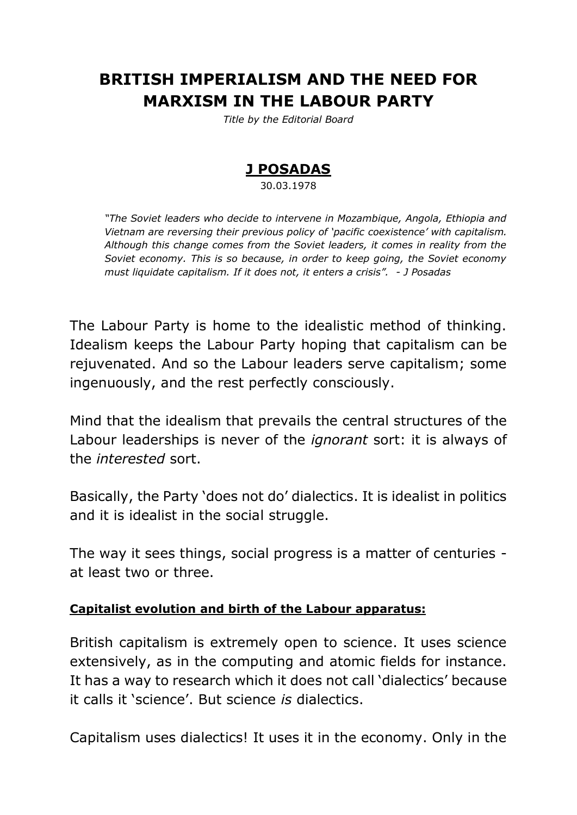# **BRITISH IMPERIALISM AND THE NEED FOR MARXISM IN THE LABOUR PARTY**

*Title by the Editorial Board*

# **J POSADAS**

30.03.1978

*"The Soviet leaders who decide to intervene in Mozambique, Angola, Ethiopia and Vietnam are reversing their previous policy of 'pacific coexistence' with capitalism. Although this change comes from the Soviet leaders, it comes in reality from the Soviet economy. This is so because, in order to keep going, the Soviet economy must liquidate capitalism. If it does not, it enters a crisis". - J Posadas*

The Labour Party is home to the idealistic method of thinking. Idealism keeps the Labour Party hoping that capitalism can be rejuvenated. And so the Labour leaders serve capitalism; some ingenuously, and the rest perfectly consciously.

Mind that the idealism that prevails the central structures of the Labour leaderships is never of the *ignorant* sort: it is always of the *interested* sort.

Basically, the Party 'does not do' dialectics. It is idealist in politics and it is idealist in the social struggle.

The way it sees things, social progress is a matter of centuries at least two or three.

#### **Capitalist evolution and birth of the Labour apparatus:**

British capitalism is extremely open to science. It uses science extensively, as in the computing and atomic fields for instance. It has a way to research which it does not call 'dialectics' because it calls it 'science'. But science *is* dialectics.

Capitalism uses dialectics! It uses it in the economy. Only in the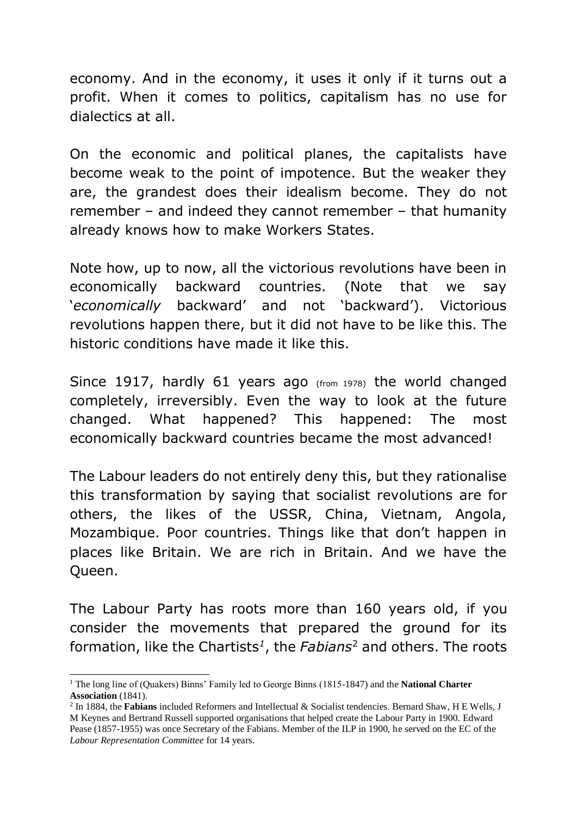economy. And in the economy, it uses it only if it turns out a profit. When it comes to politics, capitalism has no use for dialectics at all.

On the economic and political planes, the capitalists have become weak to the point of impotence. But the weaker they are, the grandest does their idealism become. They do not remember – and indeed they cannot remember – that humanity already knows how to make Workers States.

Note how, up to now, all the victorious revolutions have been in economically backward countries. (Note that we say '*economically* backward' and not 'backward'). Victorious revolutions happen there, but it did not have to be like this. The historic conditions have made it like this.

Since 1917, hardly 61 years ago (from 1978) the world changed completely, irreversibly. Even the way to look at the future changed. What happened? This happened: The most economically backward countries became the most advanced!

The Labour leaders do not entirely deny this, but they rationalise this transformation by saying that socialist revolutions are for others, the likes of the USSR, China, Vietnam, Angola, Mozambique. Poor countries. Things like that don't happen in places like Britain. We are rich in Britain. And we have the Queen.

The Labour Party has roots more than 160 years old, if you consider the movements that prepared the ground for its formation, like the Chartists *1* , the *Fabians*<sup>2</sup> and others. The roots

-

<sup>1</sup> The long line of (Quakers) Binns' Family led to George Binns (1815-1847) and the **National Charter Association** (1841).

<sup>2</sup> In 1884, the **Fabians** included Reformers and Intellectual & Socialist tendencies. Bernard Shaw, H E Wells, J M Keynes and Bertrand Russell supported organisations that helped create the Labour Party in 1900. Edward Pease (1857-1955) was once Secretary of the Fabians. Member of the ILP in 1900, he served on the EC of the *Labour Representation Committee* for 14 years.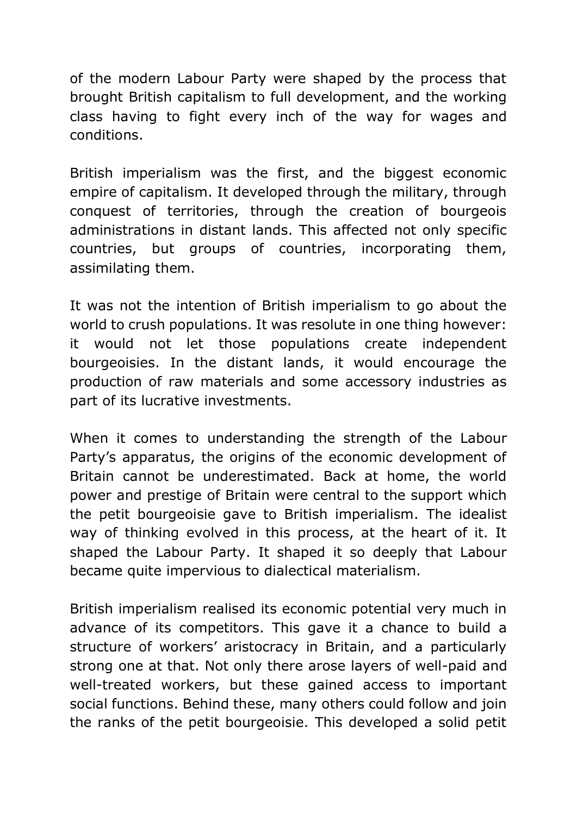of the modern Labour Party were shaped by the process that brought British capitalism to full development, and the working class having to fight every inch of the way for wages and conditions.

British imperialism was the first, and the biggest economic empire of capitalism. It developed through the military, through conquest of territories, through the creation of bourgeois administrations in distant lands. This affected not only specific countries, but groups of countries, incorporating them, assimilating them.

It was not the intention of British imperialism to go about the world to crush populations. It was resolute in one thing however: it would not let those populations create independent bourgeoisies. In the distant lands, it would encourage the production of raw materials and some accessory industries as part of its lucrative investments.

When it comes to understanding the strength of the Labour Party's apparatus, the origins of the economic development of Britain cannot be underestimated. Back at home, the world power and prestige of Britain were central to the support which the petit bourgeoisie gave to British imperialism. The idealist way of thinking evolved in this process, at the heart of it. It shaped the Labour Party. It shaped it so deeply that Labour became quite impervious to dialectical materialism.

British imperialism realised its economic potential very much in advance of its competitors. This gave it a chance to build a structure of workers' aristocracy in Britain, and a particularly strong one at that. Not only there arose layers of well-paid and well-treated workers, but these gained access to important social functions. Behind these, many others could follow and join the ranks of the petit bourgeoisie. This developed a solid petit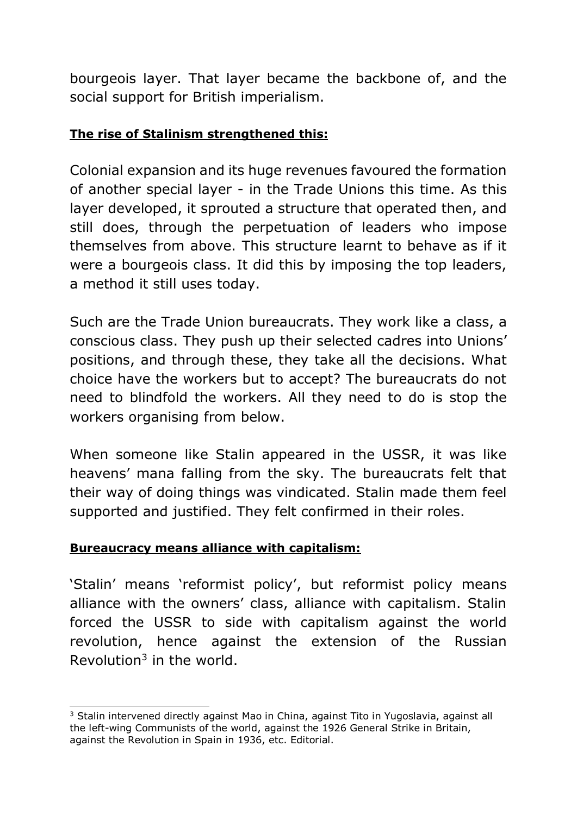bourgeois layer. That layer became the backbone of, and the social support for British imperialism.

## **The rise of Stalinism strengthened this:**

Colonial expansion and its huge revenues favoured the formation of another special layer - in the Trade Unions this time. As this layer developed, it sprouted a structure that operated then, and still does, through the perpetuation of leaders who impose themselves from above. This structure learnt to behave as if it were a bourgeois class. It did this by imposing the top leaders, a method it still uses today.

Such are the Trade Union bureaucrats. They work like a class, a conscious class. They push up their selected cadres into Unions' positions, and through these, they take all the decisions. What choice have the workers but to accept? The bureaucrats do not need to blindfold the workers. All they need to do is stop the workers organising from below.

When someone like Stalin appeared in the USSR, it was like heavens' mana falling from the sky. The bureaucrats felt that their way of doing things was vindicated. Stalin made them feel supported and justified. They felt confirmed in their roles.

#### **Bureaucracy means alliance with capitalism:**

-

'Stalin' means 'reformist policy', but reformist policy means alliance with the owners' class, alliance with capitalism. Stalin forced the USSR to side with capitalism against the world revolution, hence against the extension of the Russian Revolution $3$  in the world.

<sup>&</sup>lt;sup>3</sup> Stalin intervened directly against Mao in China, against Tito in Yugoslavia, against all the left-wing Communists of the world, against the 1926 General Strike in Britain, against the Revolution in Spain in 1936, etc. Editorial.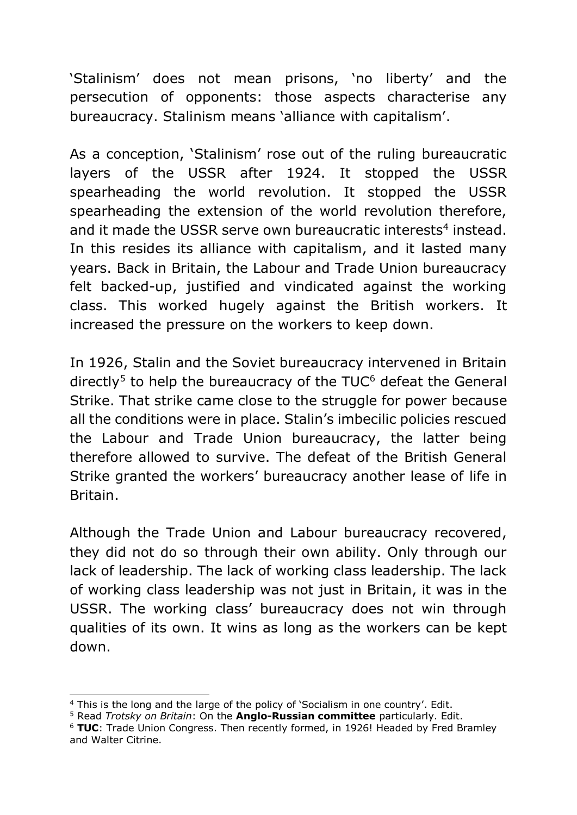'Stalinism' does not mean prisons, 'no liberty' and the persecution of opponents: those aspects characterise any bureaucracy. Stalinism means 'alliance with capitalism'.

As a conception, 'Stalinism' rose out of the ruling bureaucratic layers of the USSR after 1924. It stopped the USSR spearheading the world revolution. It stopped the USSR spearheading the extension of the world revolution therefore, and it made the USSR serve own bureaucratic interests<sup>4</sup> instead. In this resides its alliance with capitalism, and it lasted many years. Back in Britain, the Labour and Trade Union bureaucracy felt backed-up, justified and vindicated against the working class. This worked hugely against the British workers. It increased the pressure on the workers to keep down.

In 1926, Stalin and the Soviet bureaucracy intervened in Britain directly<sup>5</sup> to help the bureaucracy of the  $TUC<sup>6</sup>$  defeat the General Strike. That strike came close to the struggle for power because all the conditions were in place. Stalin's imbecilic policies rescued the Labour and Trade Union bureaucracy, the latter being therefore allowed to survive. The defeat of the British General Strike granted the workers' bureaucracy another lease of life in Britain.

Although the Trade Union and Labour bureaucracy recovered, they did not do so through their own ability. Only through our lack of leadership. The lack of working class leadership. The lack of working class leadership was not just in Britain, it was in the USSR. The working class' bureaucracy does not win through qualities of its own. It wins as long as the workers can be kept down.

-

<sup>&</sup>lt;sup>4</sup> This is the long and the large of the policy of 'Socialism in one country'. Edit.

<sup>5</sup> Read *Trotsky on Britain*: On the **Anglo-Russian committee** particularly. Edit.

<sup>6</sup> **TUC**: Trade Union Congress. Then recently formed, in 1926! Headed by Fred Bramley and Walter Citrine.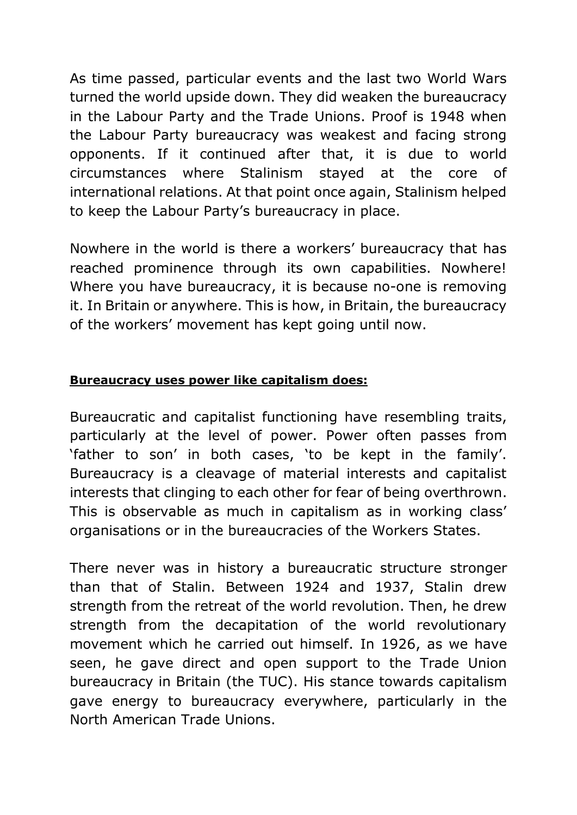As time passed, particular events and the last two World Wars turned the world upside down. They did weaken the bureaucracy in the Labour Party and the Trade Unions. Proof is 1948 when the Labour Party bureaucracy was weakest and facing strong opponents. If it continued after that, it is due to world circumstances where Stalinism stayed at the core of international relations. At that point once again, Stalinism helped to keep the Labour Party's bureaucracy in place.

Nowhere in the world is there a workers' bureaucracy that has reached prominence through its own capabilities. Nowhere! Where you have bureaucracy, it is because no-one is removing it. In Britain or anywhere. This is how, in Britain, the bureaucracy of the workers' movement has kept going until now.

#### **Bureaucracy uses power like capitalism does:**

Bureaucratic and capitalist functioning have resembling traits, particularly at the level of power. Power often passes from 'father to son' in both cases, 'to be kept in the family'. Bureaucracy is a cleavage of material interests and capitalist interests that clinging to each other for fear of being overthrown. This is observable as much in capitalism as in working class' organisations or in the bureaucracies of the Workers States.

There never was in history a bureaucratic structure stronger than that of Stalin. Between 1924 and 1937, Stalin drew strength from the retreat of the world revolution. Then, he drew strength from the decapitation of the world revolutionary movement which he carried out himself. In 1926, as we have seen, he gave direct and open support to the Trade Union bureaucracy in Britain (the TUC). His stance towards capitalism gave energy to bureaucracy everywhere, particularly in the North American Trade Unions.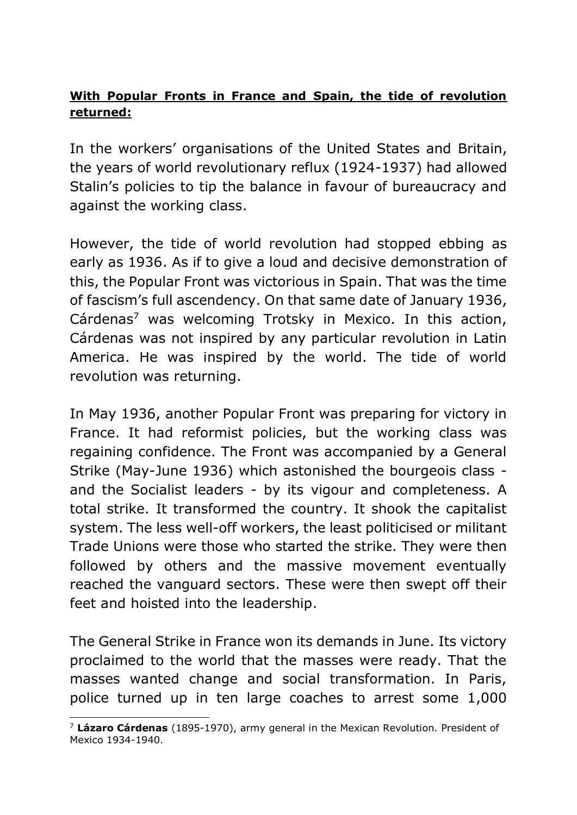## **With Popular Fronts in France and Spain, the tide of revolution returned:**

In the workers' organisations of the United States and Britain, the years of world revolutionary reflux (1924-1937) had allowed Stalin's policies to tip the balance in favour of bureaucracy and against the working class.

However, the tide of world revolution had stopped ebbing as early as 1936. As if to give a loud and decisive demonstration of this, the Popular Front was victorious in Spain. That was the time of fascism's full ascendency. On that same date of January 1936, Cárdenas<sup>7</sup> was welcoming Trotsky in Mexico. In this action, Cárdenas was not inspired by any particular revolution in Latin America. He was inspired by the world. The tide of world revolution was returning.

In May 1936, another Popular Front was preparing for victory in France. It had reformist policies, but the working class was regaining confidence. The Front was accompanied by a General Strike (May-June 1936) which astonished the bourgeois class and the Socialist leaders - by its vigour and completeness. A total strike. It transformed the country. It shook the capitalist system. The less well-off workers, the least politicised or militant Trade Unions were those who started the strike. They were then followed by others and the massive movement eventually reached the vanguard sectors. These were then swept off their feet and hoisted into the leadership.

The General Strike in France won its demands in June. Its victory proclaimed to the world that the masses were ready. That the masses wanted change and social transformation. In Paris, police turned up in ten large coaches to arrest some 1,000

<sup>-</sup><sup>7</sup> **Lázaro Cárdenas** (1895-1970), army general in the Mexican Revolution. President of Mexico 1934-1940.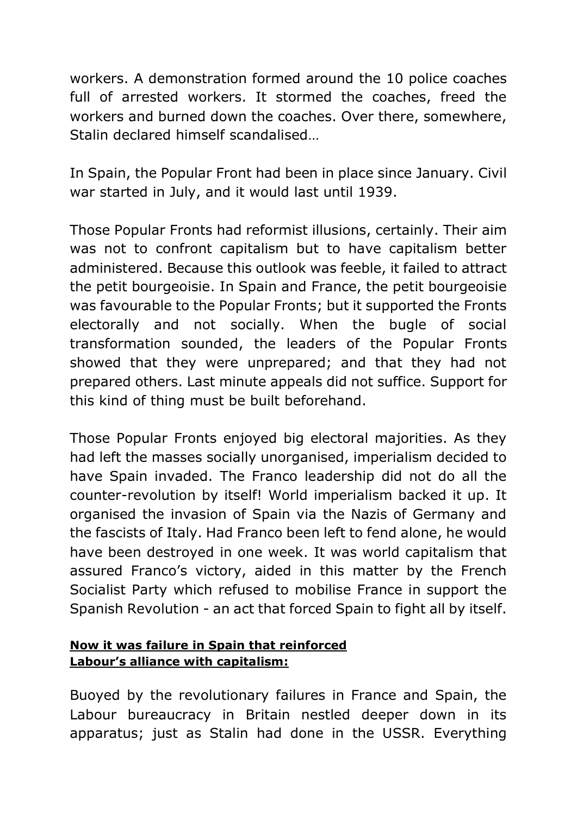workers. A demonstration formed around the 10 police coaches full of arrested workers. It stormed the coaches, freed the workers and burned down the coaches. Over there, somewhere, Stalin declared himself scandalised…

In Spain, the Popular Front had been in place since January. Civil war started in July, and it would last until 1939.

Those Popular Fronts had reformist illusions, certainly. Their aim was not to confront capitalism but to have capitalism better administered. Because this outlook was feeble, it failed to attract the petit bourgeoisie. In Spain and France, the petit bourgeoisie was favourable to the Popular Fronts; but it supported the Fronts electorally and not socially. When the bugle of social transformation sounded, the leaders of the Popular Fronts showed that they were unprepared; and that they had not prepared others. Last minute appeals did not suffice. Support for this kind of thing must be built beforehand.

Those Popular Fronts enjoyed big electoral majorities. As they had left the masses socially unorganised, imperialism decided to have Spain invaded. The Franco leadership did not do all the counter-revolution by itself! World imperialism backed it up. It organised the invasion of Spain via the Nazis of Germany and the fascists of Italy. Had Franco been left to fend alone, he would have been destroyed in one week. It was world capitalism that assured Franco's victory, aided in this matter by the French Socialist Party which refused to mobilise France in support the Spanish Revolution - an act that forced Spain to fight all by itself.

## **Now it was failure in Spain that reinforced Labour's alliance with capitalism:**

Buoyed by the revolutionary failures in France and Spain, the Labour bureaucracy in Britain nestled deeper down in its apparatus; just as Stalin had done in the USSR. Everything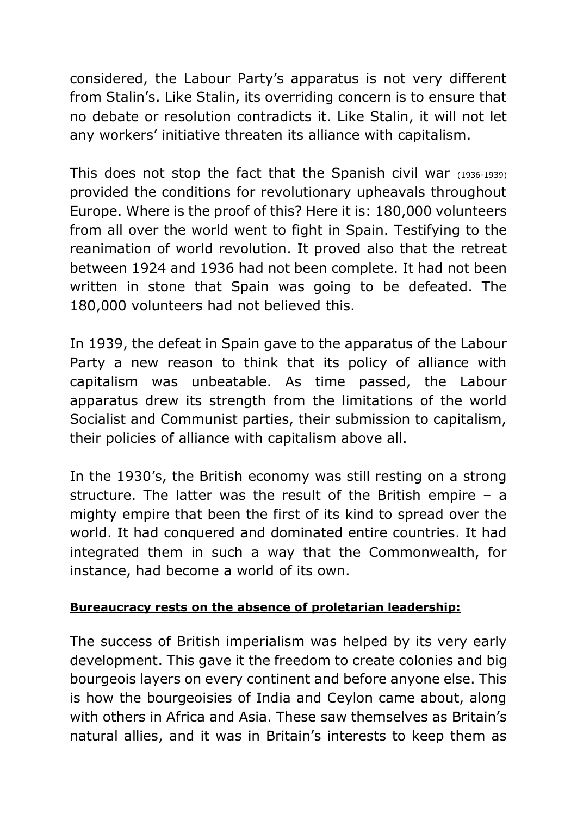considered, the Labour Party's apparatus is not very different from Stalin's. Like Stalin, its overriding concern is to ensure that no debate or resolution contradicts it. Like Stalin, it will not let any workers' initiative threaten its alliance with capitalism.

This does not stop the fact that the Spanish civil war (1936-1939) provided the conditions for revolutionary upheavals throughout Europe. Where is the proof of this? Here it is: 180,000 volunteers from all over the world went to fight in Spain. Testifying to the reanimation of world revolution. It proved also that the retreat between 1924 and 1936 had not been complete. It had not been written in stone that Spain was going to be defeated. The 180,000 volunteers had not believed this.

In 1939, the defeat in Spain gave to the apparatus of the Labour Party a new reason to think that its policy of alliance with capitalism was unbeatable. As time passed, the Labour apparatus drew its strength from the limitations of the world Socialist and Communist parties, their submission to capitalism, their policies of alliance with capitalism above all.

In the 1930's, the British economy was still resting on a strong structure. The latter was the result of the British empire – a mighty empire that been the first of its kind to spread over the world. It had conquered and dominated entire countries. It had integrated them in such a way that the Commonwealth, for instance, had become a world of its own.

#### **Bureaucracy rests on the absence of proletarian leadership:**

The success of British imperialism was helped by its very early development. This gave it the freedom to create colonies and big bourgeois layers on every continent and before anyone else. This is how the bourgeoisies of India and Ceylon came about, along with others in Africa and Asia. These saw themselves as Britain's natural allies, and it was in Britain's interests to keep them as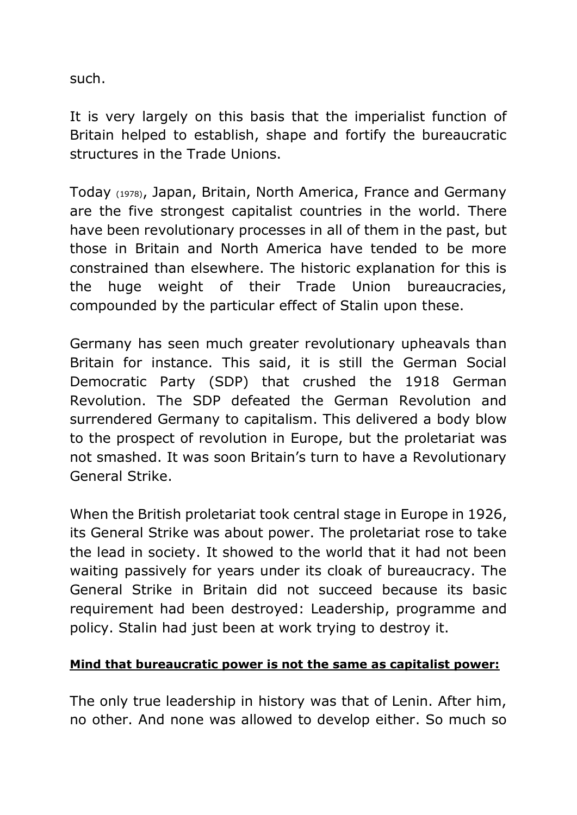such.

It is very largely on this basis that the imperialist function of Britain helped to establish, shape and fortify the bureaucratic structures in the Trade Unions.

Today (1978), Japan, Britain, North America, France and Germany are the five strongest capitalist countries in the world. There have been revolutionary processes in all of them in the past, but those in Britain and North America have tended to be more constrained than elsewhere. The historic explanation for this is the huge weight of their Trade Union bureaucracies, compounded by the particular effect of Stalin upon these.

Germany has seen much greater revolutionary upheavals than Britain for instance. This said, it is still the German Social Democratic Party (SDP) that crushed the 1918 German Revolution. The SDP defeated the German Revolution and surrendered Germany to capitalism. This delivered a body blow to the prospect of revolution in Europe, but the proletariat was not smashed. It was soon Britain's turn to have a Revolutionary General Strike.

When the British proletariat took central stage in Europe in 1926, its General Strike was about power. The proletariat rose to take the lead in society. It showed to the world that it had not been waiting passively for years under its cloak of bureaucracy. The General Strike in Britain did not succeed because its basic requirement had been destroyed: Leadership, programme and policy. Stalin had just been at work trying to destroy it.

#### **Mind that bureaucratic power is not the same as capitalist power:**

The only true leadership in history was that of Lenin. After him, no other. And none was allowed to develop either. So much so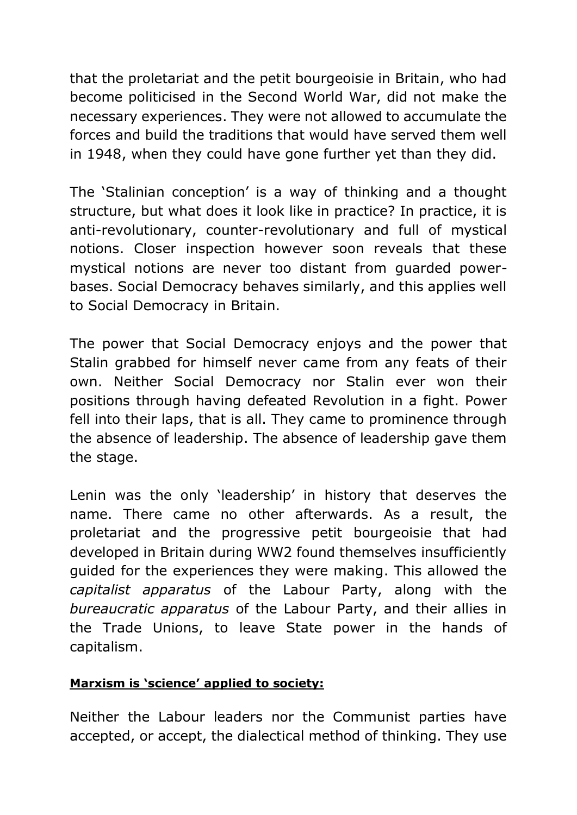that the proletariat and the petit bourgeoisie in Britain, who had become politicised in the Second World War, did not make the necessary experiences. They were not allowed to accumulate the forces and build the traditions that would have served them well in 1948, when they could have gone further yet than they did.

The 'Stalinian conception' is a way of thinking and a thought structure, but what does it look like in practice? In practice, it is anti-revolutionary, counter-revolutionary and full of mystical notions. Closer inspection however soon reveals that these mystical notions are never too distant from guarded powerbases. Social Democracy behaves similarly, and this applies well to Social Democracy in Britain.

The power that Social Democracy enjoys and the power that Stalin grabbed for himself never came from any feats of their own. Neither Social Democracy nor Stalin ever won their positions through having defeated Revolution in a fight. Power fell into their laps, that is all. They came to prominence through the absence of leadership. The absence of leadership gave them the stage.

Lenin was the only 'leadership' in history that deserves the name. There came no other afterwards. As a result, the proletariat and the progressive petit bourgeoisie that had developed in Britain during WW2 found themselves insufficiently guided for the experiences they were making. This allowed the *capitalist apparatus* of the Labour Party, along with the *bureaucratic apparatus* of the Labour Party, and their allies in the Trade Unions, to leave State power in the hands of capitalism.

#### **Marxism is 'science' applied to society:**

Neither the Labour leaders nor the Communist parties have accepted, or accept, the dialectical method of thinking. They use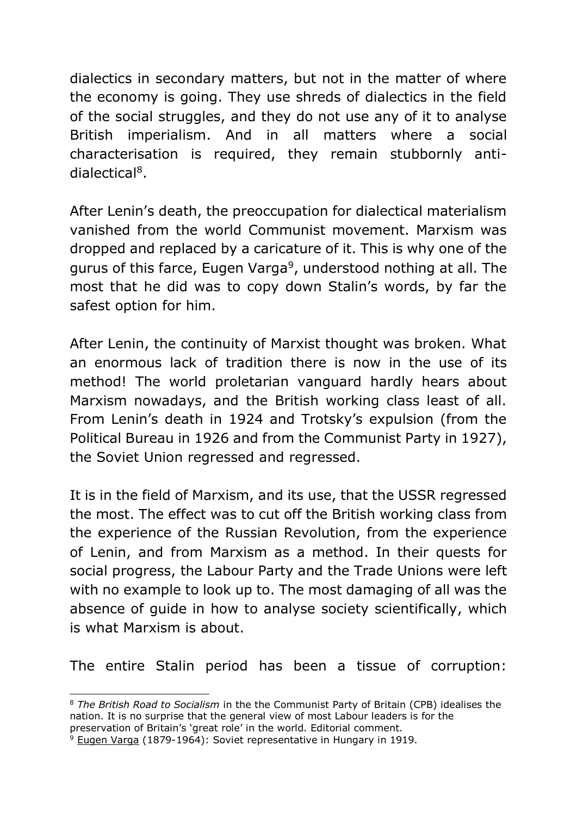dialectics in secondary matters, but not in the matter of where the economy is going. They use shreds of dialectics in the field of the social struggles, and they do not use any of it to analyse British imperialism. And in all matters where a social characterisation is required, they remain stubbornly antidialectical<sup>8</sup>.

After Lenin's death, the preoccupation for dialectical materialism vanished from the world Communist movement. Marxism was dropped and replaced by a caricature of it. This is why one of the gurus of this farce, Eugen Varga<sup>9</sup>, understood nothing at all. The most that he did was to copy down Stalin's words, by far the safest option for him.

After Lenin, the continuity of Marxist thought was broken. What an enormous lack of tradition there is now in the use of its method! The world proletarian vanguard hardly hears about Marxism nowadays, and the British working class least of all. From Lenin's death in 1924 and Trotsky's expulsion (from the Political Bureau in 1926 and from the Communist Party in 1927), the Soviet Union regressed and regressed.

It is in the field of Marxism, and its use, that the USSR regressed the most. The effect was to cut off the British working class from the experience of the Russian Revolution, from the experience of Lenin, and from Marxism as a method. In their quests for social progress, the Labour Party and the Trade Unions were left with no example to look up to. The most damaging of all was the absence of guide in how to analyse society scientifically, which is what Marxism is about.

The entire Stalin period has been a tissue of corruption:

-

<sup>8</sup> *The British Road to Socialism* in the the Communist Party of Britain (CPB) idealises the nation. It is no surprise that the general view of most Labour leaders is for the preservation of Britain's 'great role' in the world. Editorial comment.

 $9$  Eugen Varga (1879-1964): Soviet representative in Hungary in 1919.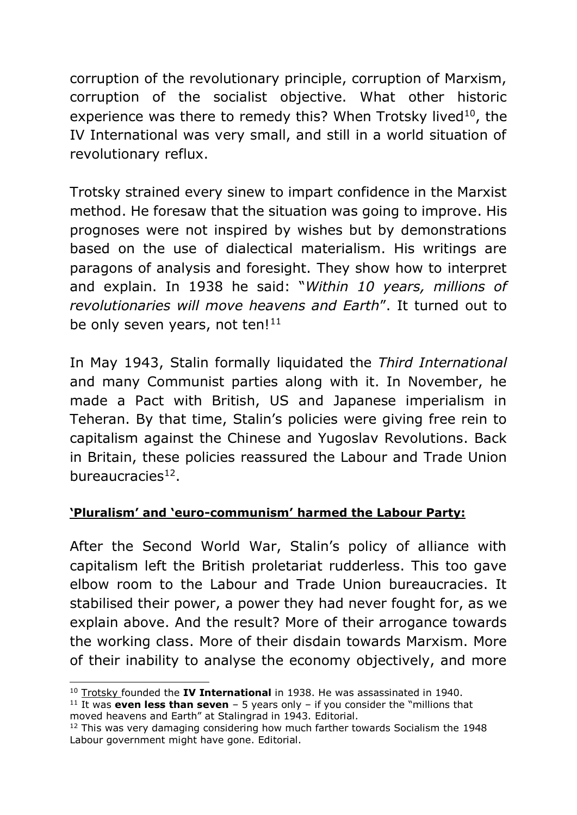corruption of the revolutionary principle, corruption of Marxism, corruption of the socialist objective. What other historic experience was there to remedy this? When Trotsky lived $10$ , the IV International was very small, and still in a world situation of revolutionary reflux.

Trotsky strained every sinew to impart confidence in the Marxist method. He foresaw that the situation was going to improve. His prognoses were not inspired by wishes but by demonstrations based on the use of dialectical materialism. His writings are paragons of analysis and foresight. They show how to interpret and explain. In 1938 he said: "*Within 10 years, millions of revolutionaries will move heavens and Earth*". It turned out to be only seven years, not ten!<sup>11</sup>

In May 1943, Stalin formally liquidated the *Third International* and many Communist parties along with it. In November, he made a Pact with British, US and Japanese imperialism in Teheran. By that time, Stalin's policies were giving free rein to capitalism against the Chinese and Yugoslav Revolutions. Back in Britain, these policies reassured the Labour and Trade Union bureaucracies<sup>12</sup>.

## **'Pluralism' and 'euro-communism' harmed the Labour Party:**

After the Second World War, Stalin's policy of alliance with capitalism left the British proletariat rudderless. This too gave elbow room to the Labour and Trade Union bureaucracies. It stabilised their power, a power they had never fought for, as we explain above. And the result? More of their arrogance towards the working class. More of their disdain towards Marxism. More of their inability to analyse the economy objectively, and more

<sup>-</sup><sup>10</sup> Trotsky founded the **IV International** in 1938. He was assassinated in 1940.

<sup>&</sup>lt;sup>11</sup> It was **even less than seven**  $-5$  years only  $-$  if you consider the "millions that moved heavens and Earth" at Stalingrad in 1943. Editorial.

<sup>&</sup>lt;sup>12</sup> This was very damaging considering how much farther towards Socialism the 1948 Labour government might have gone. Editorial.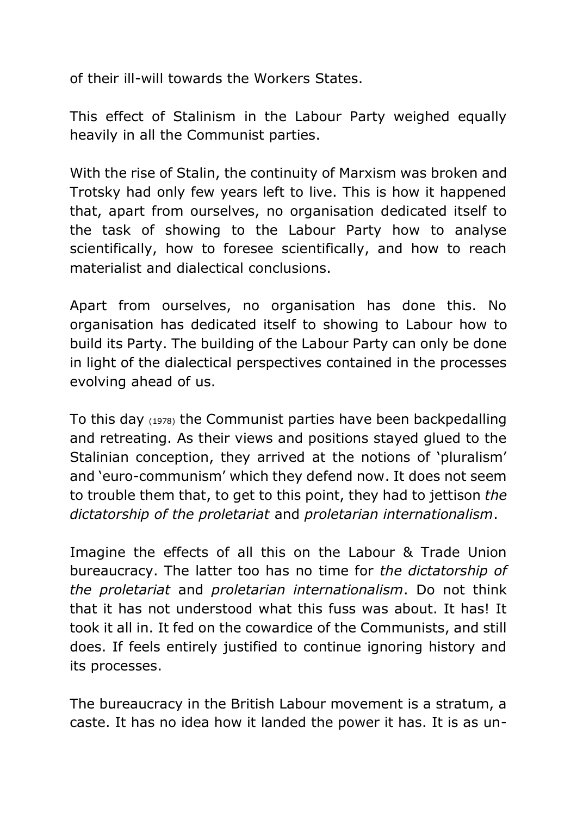of their ill-will towards the Workers States.

This effect of Stalinism in the Labour Party weighed equally heavily in all the Communist parties.

With the rise of Stalin, the continuity of Marxism was broken and Trotsky had only few years left to live. This is how it happened that, apart from ourselves, no organisation dedicated itself to the task of showing to the Labour Party how to analyse scientifically, how to foresee scientifically, and how to reach materialist and dialectical conclusions.

Apart from ourselves, no organisation has done this. No organisation has dedicated itself to showing to Labour how to build its Party. The building of the Labour Party can only be done in light of the dialectical perspectives contained in the processes evolving ahead of us.

To this day (1978) the Communist parties have been backpedalling and retreating. As their views and positions stayed glued to the Stalinian conception, they arrived at the notions of 'pluralism' and 'euro-communism' which they defend now. It does not seem to trouble them that, to get to this point, they had to jettison *the dictatorship of the proletariat* and *proletarian internationalism*.

Imagine the effects of all this on the Labour & Trade Union bureaucracy. The latter too has no time for *the dictatorship of the proletariat* and *proletarian internationalism*. Do not think that it has not understood what this fuss was about. It has! It took it all in. It fed on the cowardice of the Communists, and still does. If feels entirely justified to continue ignoring history and its processes.

The bureaucracy in the British Labour movement is a stratum, a caste. It has no idea how it landed the power it has. It is as un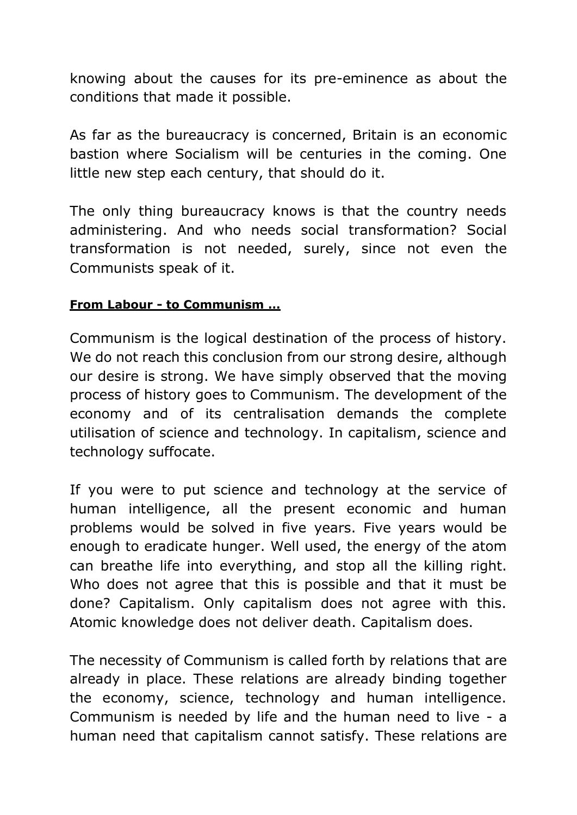knowing about the causes for its pre-eminence as about the conditions that made it possible.

As far as the bureaucracy is concerned, Britain is an economic bastion where Socialism will be centuries in the coming. One little new step each century, that should do it.

The only thing bureaucracy knows is that the country needs administering. And who needs social transformation? Social transformation is not needed, surely, since not even the Communists speak of it.

#### **From Labour - to Communism …**

Communism is the logical destination of the process of history. We do not reach this conclusion from our strong desire, although our desire is strong. We have simply observed that the moving process of history goes to Communism. The development of the economy and of its centralisation demands the complete utilisation of science and technology. In capitalism, science and technology suffocate.

If you were to put science and technology at the service of human intelligence, all the present economic and human problems would be solved in five years. Five years would be enough to eradicate hunger. Well used, the energy of the atom can breathe life into everything, and stop all the killing right. Who does not agree that this is possible and that it must be done? Capitalism. Only capitalism does not agree with this. Atomic knowledge does not deliver death. Capitalism does.

The necessity of Communism is called forth by relations that are already in place. These relations are already binding together the economy, science, technology and human intelligence. Communism is needed by life and the human need to live - a human need that capitalism cannot satisfy. These relations are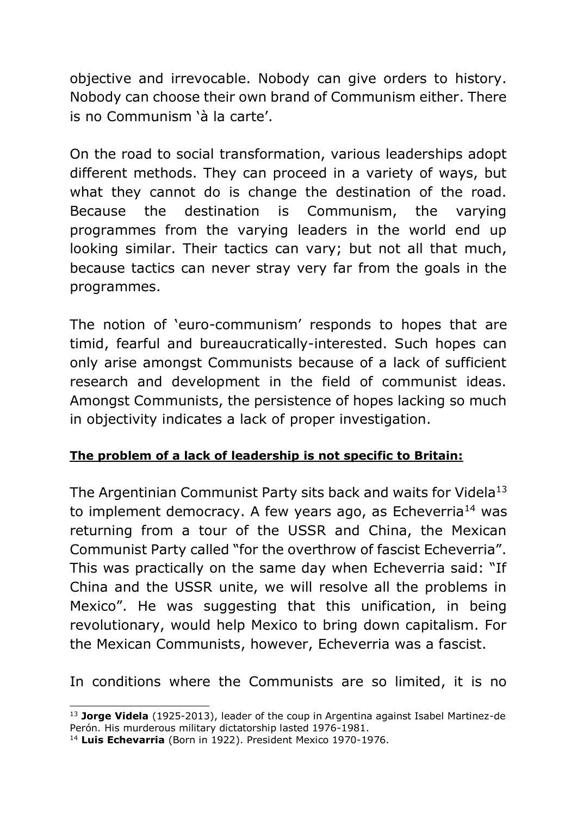objective and irrevocable. Nobody can give orders to history. Nobody can choose their own brand of Communism either. There is no Communism 'à la carte'.

On the road to social transformation, various leaderships adopt different methods. They can proceed in a variety of ways, but what they cannot do is change the destination of the road. Because the destination is Communism, the varying programmes from the varying leaders in the world end up looking similar. Their tactics can vary; but not all that much, because tactics can never stray very far from the goals in the programmes.

The notion of 'euro-communism' responds to hopes that are timid, fearful and bureaucratically-interested. Such hopes can only arise amongst Communists because of a lack of sufficient research and development in the field of communist ideas. Amongst Communists, the persistence of hopes lacking so much in objectivity indicates a lack of proper investigation.

## **The problem of a lack of leadership is not specific to Britain:**

The Argentinian Communist Party sits back and waits for Videla<sup>13</sup> to implement democracy. A few years ago, as Echeverria<sup>14</sup> was returning from a tour of the USSR and China, the Mexican Communist Party called "for the overthrow of fascist Echeverria". This was practically on the same day when Echeverria said: "If China and the USSR unite, we will resolve all the problems in Mexico". He was suggesting that this unification, in being revolutionary, would help Mexico to bring down capitalism. For the Mexican Communists, however, Echeverria was a fascist.

In conditions where the Communists are so limited, it is no

<sup>-</sup><sup>13</sup> **Jorge Videla** (1925-2013), leader of the coup in Argentina against Isabel Martinez-de Perón. His murderous military dictatorship lasted 1976-1981.

<sup>14</sup> **Luis Echevarria** (Born in 1922). President Mexico 1970-1976.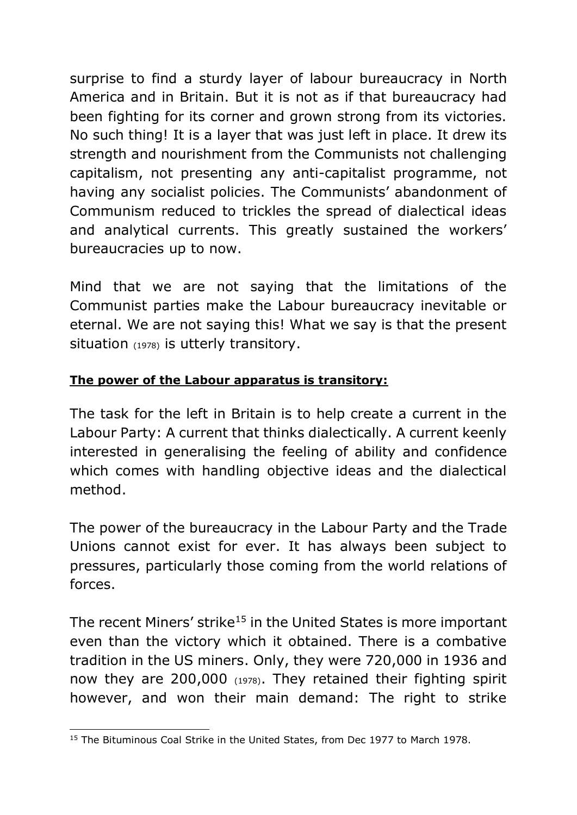surprise to find a sturdy layer of labour bureaucracy in North America and in Britain. But it is not as if that bureaucracy had been fighting for its corner and grown strong from its victories. No such thing! It is a layer that was just left in place. It drew its strength and nourishment from the Communists not challenging capitalism, not presenting any anti-capitalist programme, not having any socialist policies. The Communists' abandonment of Communism reduced to trickles the spread of dialectical ideas and analytical currents. This greatly sustained the workers' bureaucracies up to now.

Mind that we are not saying that the limitations of the Communist parties make the Labour bureaucracy inevitable or eternal. We are not saying this! What we say is that the present situation (1978) is utterly transitory.

## **The power of the Labour apparatus is transitory:**

The task for the left in Britain is to help create a current in the Labour Party: A current that thinks dialectically. A current keenly interested in generalising the feeling of ability and confidence which comes with handling objective ideas and the dialectical method.

The power of the bureaucracy in the Labour Party and the Trade Unions cannot exist for ever. It has always been subject to pressures, particularly those coming from the world relations of forces.

The recent Miners' strike<sup>15</sup> in the United States is more important even than the victory which it obtained. There is a combative tradition in the US miners. Only, they were 720,000 in 1936 and now they are 200,000 (1978). They retained their fighting spirit however, and won their main demand: The right to strike

<sup>-</sup><sup>15</sup> The Bituminous Coal Strike in the United States, from Dec 1977 to March 1978.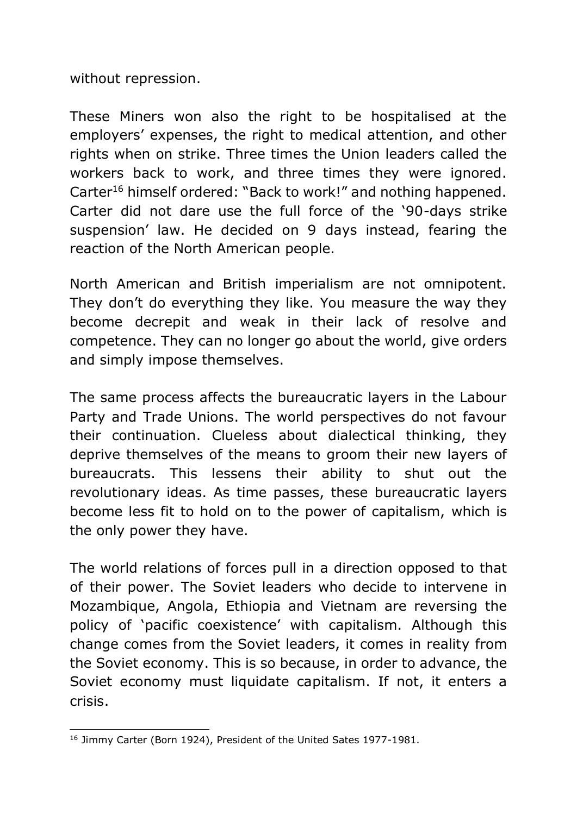without repression.

These Miners won also the right to be hospitalised at the employers' expenses, the right to medical attention, and other rights when on strike. Three times the Union leaders called the workers back to work, and three times they were ignored. Carter<sup>16</sup> himself ordered: "Back to work!" and nothing happened. Carter did not dare use the full force of the '90-days strike suspension' law. He decided on 9 days instead, fearing the reaction of the North American people.

North American and British imperialism are not omnipotent. They don't do everything they like. You measure the way they become decrepit and weak in their lack of resolve and competence. They can no longer go about the world, give orders and simply impose themselves.

The same process affects the bureaucratic layers in the Labour Party and Trade Unions. The world perspectives do not favour their continuation. Clueless about dialectical thinking, they deprive themselves of the means to groom their new layers of bureaucrats. This lessens their ability to shut out the revolutionary ideas. As time passes, these bureaucratic layers become less fit to hold on to the power of capitalism, which is the only power they have.

The world relations of forces pull in a direction opposed to that of their power. The Soviet leaders who decide to intervene in Mozambique, Angola, Ethiopia and Vietnam are reversing the policy of 'pacific coexistence' with capitalism. Although this change comes from the Soviet leaders, it comes in reality from the Soviet economy. This is so because, in order to advance, the Soviet economy must liquidate capitalism. If not, it enters a crisis.

<sup>-</sup><sup>16</sup> Jimmy Carter (Born 1924), President of the United Sates 1977-1981.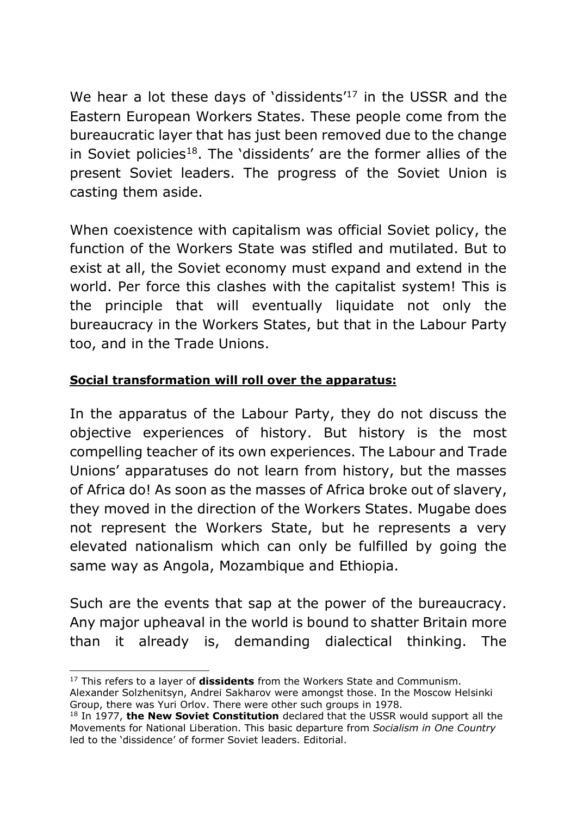We hear a lot these days of 'dissidents<sup>'17</sup> in the USSR and the Eastern European Workers States. These people come from the bureaucratic layer that has just been removed due to the change in Soviet policies<sup>18</sup>. The 'dissidents' are the former allies of the present Soviet leaders. The progress of the Soviet Union is casting them aside.

When coexistence with capitalism was official Soviet policy, the function of the Workers State was stifled and mutilated. But to exist at all, the Soviet economy must expand and extend in the world. Per force this clashes with the capitalist system! This is the principle that will eventually liquidate not only the bureaucracy in the Workers States, but that in the Labour Party too, and in the Trade Unions.

## **Social transformation will roll over the apparatus:**

In the apparatus of the Labour Party, they do not discuss the objective experiences of history. But history is the most compelling teacher of its own experiences. The Labour and Trade Unions' apparatuses do not learn from history, but the masses of Africa do! As soon as the masses of Africa broke out of slavery, they moved in the direction of the Workers States. Mugabe does not represent the Workers State, but he represents a very elevated nationalism which can only be fulfilled by going the same way as Angola, Mozambique and Ethiopia.

Such are the events that sap at the power of the bureaucracy. Any major upheaval in the world is bound to shatter Britain more than it already is, demanding dialectical thinking. The

 $\overline{a}$ 

<sup>17</sup> This refers to a layer of **dissidents** from the Workers State and Communism.

Alexander Solzhenitsyn, Andrei Sakharov were amongst those. In the Moscow Helsinki Group, there was Yuri Orlov. There were other such groups in 1978.

<sup>&</sup>lt;sup>18</sup> In 1977, the New Soviet Constitution declared that the USSR would support all the Movements for National Liberation. This basic departure from *Socialism in One Country* led to the 'dissidence' of former Soviet leaders. Editorial.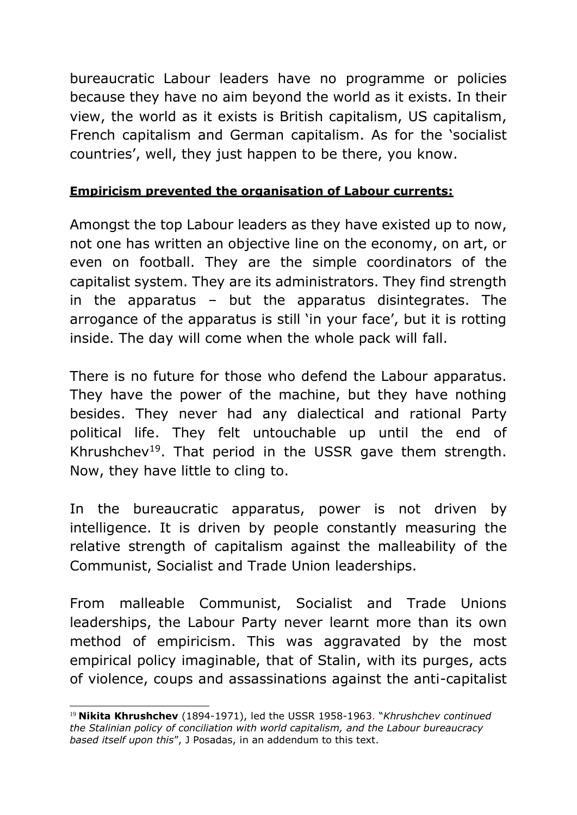bureaucratic Labour leaders have no programme or policies because they have no aim beyond the world as it exists. In their view, the world as it exists is British capitalism, US capitalism, French capitalism and German capitalism. As for the 'socialist countries', well, they just happen to be there, you know.

## **Empiricism prevented the organisation of Labour currents:**

Amongst the top Labour leaders as they have existed up to now, not one has written an objective line on the economy, on art, or even on football. They are the simple coordinators of the capitalist system. They are its administrators. They find strength in the apparatus – but the apparatus disintegrates. The arrogance of the apparatus is still 'in your face', but it is rotting inside. The day will come when the whole pack will fall.

There is no future for those who defend the Labour apparatus. They have the power of the machine, but they have nothing besides. They never had any dialectical and rational Party political life. They felt untouchable up until the end of Khrushchev<sup>19</sup>. That period in the USSR gave them strength. Now, they have little to cling to.

In the bureaucratic apparatus, power is not driven by intelligence. It is driven by people constantly measuring the relative strength of capitalism against the malleability of the Communist, Socialist and Trade Union leaderships.

From malleable Communist, Socialist and Trade Unions leaderships, the Labour Party never learnt more than its own method of empiricism. This was aggravated by the most empirical policy imaginable, that of Stalin, with its purges, acts of violence, coups and assassinations against the anti-capitalist

<sup>-</sup><sup>19</sup> **Nikita Khrushchev** (1894-1971), led the USSR 1958-1963. "*Khrushchev continued the Stalinian policy of conciliation with world capitalism, and the Labour bureaucracy based itself upon this*", J Posadas, in an addendum to this text.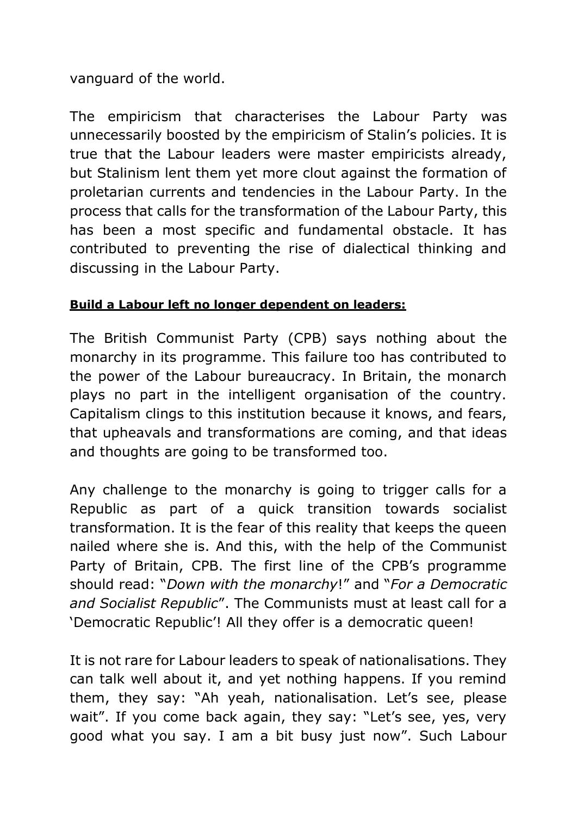vanguard of the world.

The empiricism that characterises the Labour Party was unnecessarily boosted by the empiricism of Stalin's policies. It is true that the Labour leaders were master empiricists already, but Stalinism lent them yet more clout against the formation of proletarian currents and tendencies in the Labour Party. In the process that calls for the transformation of the Labour Party, this has been a most specific and fundamental obstacle. It has contributed to preventing the rise of dialectical thinking and discussing in the Labour Party.

#### **Build a Labour left no longer dependent on leaders:**

The British Communist Party (CPB) says nothing about the monarchy in its programme. This failure too has contributed to the power of the Labour bureaucracy. In Britain, the monarch plays no part in the intelligent organisation of the country. Capitalism clings to this institution because it knows, and fears, that upheavals and transformations are coming, and that ideas and thoughts are going to be transformed too.

Any challenge to the monarchy is going to trigger calls for a Republic as part of a quick transition towards socialist transformation. It is the fear of this reality that keeps the queen nailed where she is. And this, with the help of the Communist Party of Britain, CPB. The first line of the CPB's programme should read: "*Down with the monarchy*!" and "*For a Democratic and Socialist Republic*". The Communists must at least call for a 'Democratic Republic'! All they offer is a democratic queen!

It is not rare for Labour leaders to speak of nationalisations. They can talk well about it, and yet nothing happens. If you remind them, they say: "Ah yeah, nationalisation. Let's see, please wait". If you come back again, they say: "Let's see, yes, very good what you say. I am a bit busy just now". Such Labour